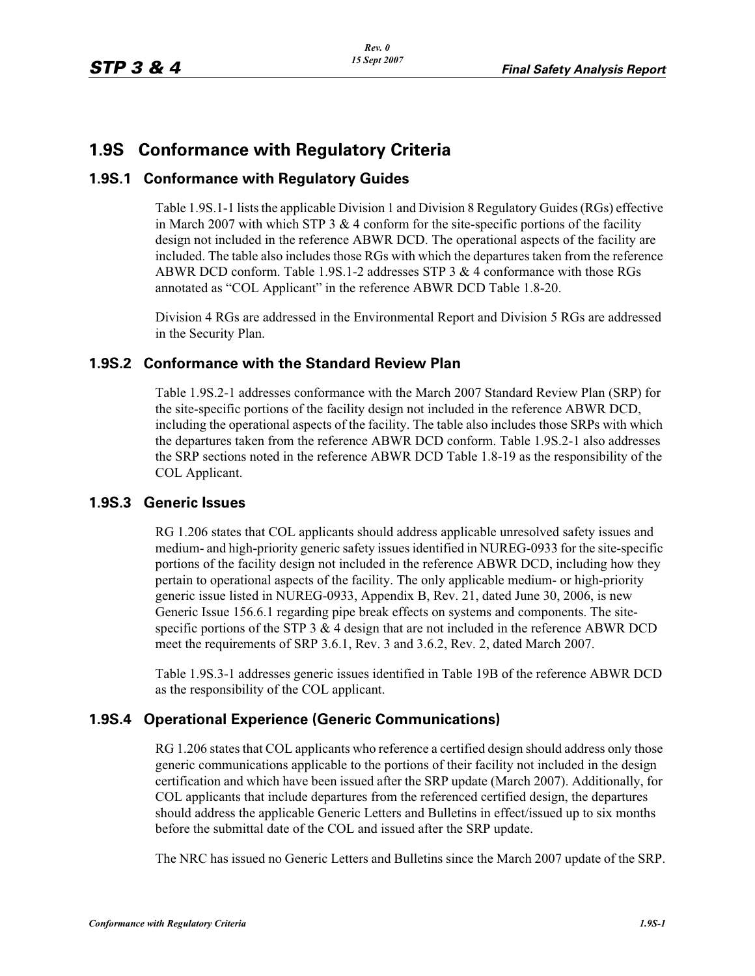# **1.9S Conformance with Regulatory Criteria**

#### **1.9S.1 Conformance with Regulatory Guides**

Table 1.9S.1-1 lists the applicable Division 1 and Division 8 Regulatory Guides (RGs) effective in March 2007 with which STP 3  $& 4$  conform for the site-specific portions of the facility design not included in the reference ABWR DCD. The operational aspects of the facility are included. The table also includes those RGs with which the departures taken from the reference ABWR DCD conform. Table 1.9S.1-2 addresses STP 3 & 4 conformance with those RGs annotated as "COL Applicant" in the reference ABWR DCD Table 1.8-20.

Division 4 RGs are addressed in the Environmental Report and Division 5 RGs are addressed in the Security Plan.

#### **1.9S.2 Conformance with the Standard Review Plan**

Table 1.9S.2-1 addresses conformance with the March 2007 Standard Review Plan (SRP) for the site-specific portions of the facility design not included in the reference ABWR DCD, including the operational aspects of the facility. The table also includes those SRPs with which the departures taken from the reference ABWR DCD conform. Table 1.9S.2-1 also addresses the SRP sections noted in the reference ABWR DCD Table 1.8-19 as the responsibility of the COL Applicant.

#### **1.9S.3 Generic Issues**

RG 1.206 states that COL applicants should address applicable unresolved safety issues and medium- and high-priority generic safety issues identified in NUREG-0933 for the site-specific portions of the facility design not included in the reference ABWR DCD, including how they pertain to operational aspects of the facility. The only applicable medium- or high-priority generic issue listed in NUREG-0933, Appendix B, Rev. 21, dated June 30, 2006, is new Generic Issue 156.6.1 regarding pipe break effects on systems and components. The sitespecific portions of the STP  $3 \& 4$  design that are not included in the reference ABWR DCD meet the requirements of SRP 3.6.1, Rev. 3 and 3.6.2, Rev. 2, dated March 2007.

Table 1.9S.3-1 addresses generic issues identified in Table 19B of the reference ABWR DCD as the responsibility of the COL applicant.

#### **1.9S.4 Operational Experience (Generic Communications)**

RG 1.206 states that COL applicants who reference a certified design should address only those generic communications applicable to the portions of their facility not included in the design certification and which have been issued after the SRP update (March 2007). Additionally, for COL applicants that include departures from the referenced certified design, the departures should address the applicable Generic Letters and Bulletins in effect/issued up to six months before the submittal date of the COL and issued after the SRP update.

The NRC has issued no Generic Letters and Bulletins since the March 2007 update of the SRP.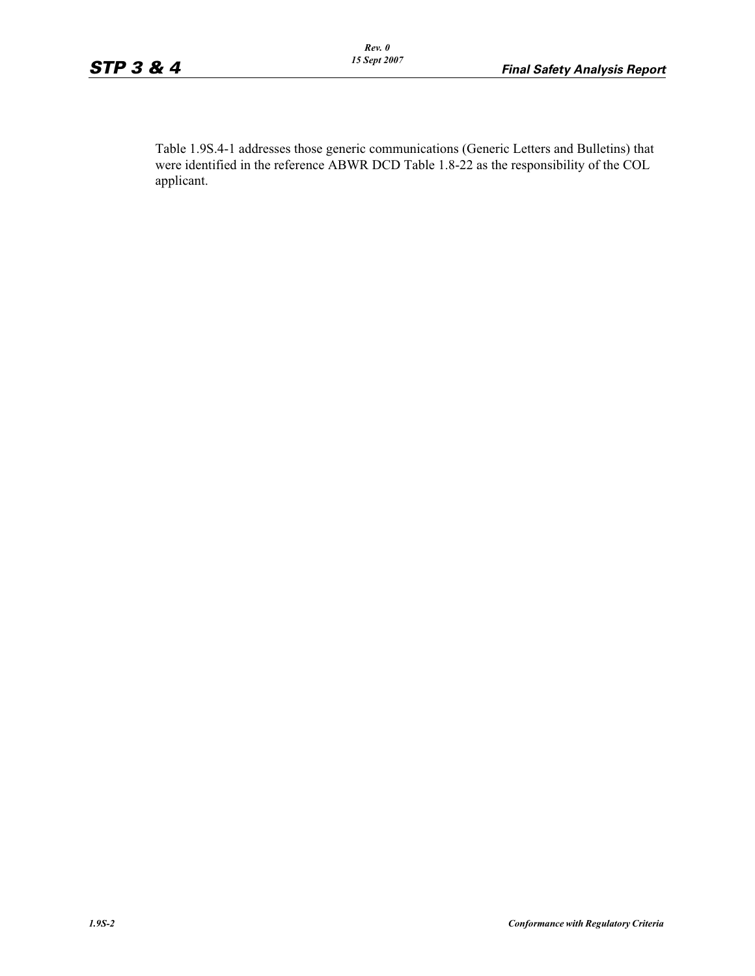Table 1.9S.4-1 addresses those generic communications (Generic Letters and Bulletins) that were identified in the reference ABWR DCD Table 1.8-22 as the responsibility of the COL applicant.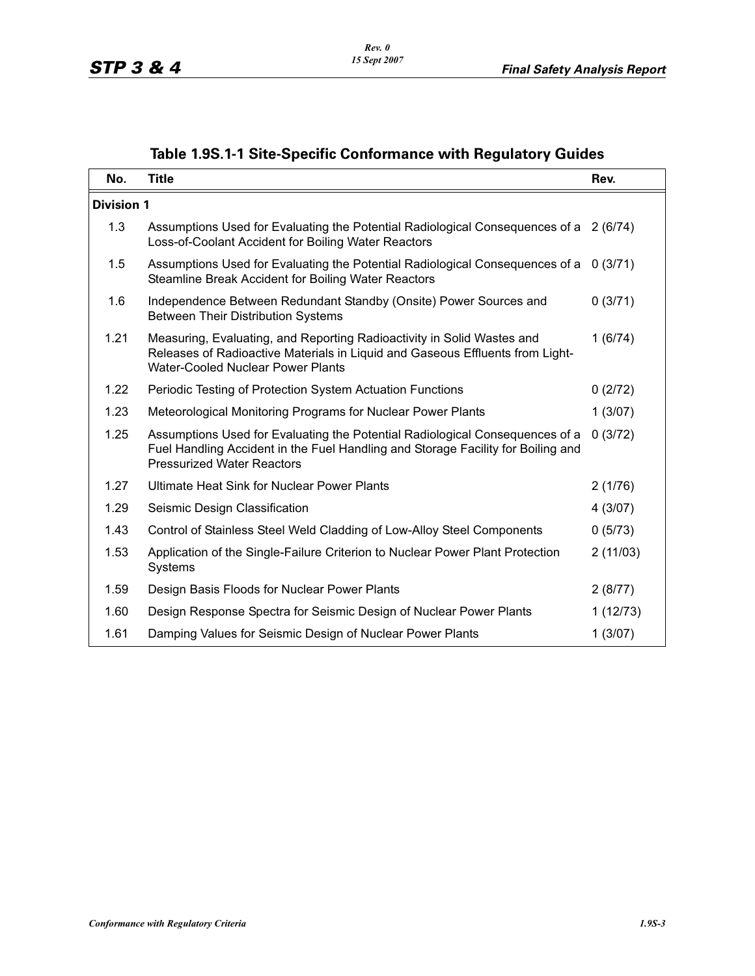|  |  |  | Table 1.9S.1-1 Site-Specific Conformance with Regulatory Guides |  |  |  |
|--|--|--|-----------------------------------------------------------------|--|--|--|
|--|--|--|-----------------------------------------------------------------|--|--|--|

| No.               | <b>Title</b>                                                                                                                                                                                          | Rev.     |
|-------------------|-------------------------------------------------------------------------------------------------------------------------------------------------------------------------------------------------------|----------|
| <b>Division 1</b> |                                                                                                                                                                                                       |          |
| 1.3               | Assumptions Used for Evaluating the Potential Radiological Consequences of a 2 (6/74)<br>Loss-of-Coolant Accident for Boiling Water Reactors                                                          |          |
| 1.5               | Assumptions Used for Evaluating the Potential Radiological Consequences of a 0 (3/71)<br>Steamline Break Accident for Boiling Water Reactors                                                          |          |
| 1.6               | Independence Between Redundant Standby (Onsite) Power Sources and<br><b>Between Their Distribution Systems</b>                                                                                        | 0(3/71)  |
| 1.21              | Measuring, Evaluating, and Reporting Radioactivity in Solid Wastes and<br>Releases of Radioactive Materials in Liquid and Gaseous Effluents from Light-<br><b>Water-Cooled Nuclear Power Plants</b>   | 1(6/74)  |
| 1.22              | Periodic Testing of Protection System Actuation Functions                                                                                                                                             | 0(2/72)  |
| 1.23              | Meteorological Monitoring Programs for Nuclear Power Plants                                                                                                                                           | 1(3/07)  |
| 1.25              | Assumptions Used for Evaluating the Potential Radiological Consequences of a<br>Fuel Handling Accident in the Fuel Handling and Storage Facility for Boiling and<br><b>Pressurized Water Reactors</b> | 0(3/72)  |
| 1.27              | Ultimate Heat Sink for Nuclear Power Plants                                                                                                                                                           | 2(1/76)  |
| 1.29              | Seismic Design Classification                                                                                                                                                                         | 4(3/07)  |
| 1.43              | Control of Stainless Steel Weld Cladding of Low-Alloy Steel Components                                                                                                                                | 0(5/73)  |
| 1.53              | Application of the Single-Failure Criterion to Nuclear Power Plant Protection<br>Systems                                                                                                              | 2(11/03) |
| 1.59              | Design Basis Floods for Nuclear Power Plants                                                                                                                                                          | 2(8/77)  |
| 1.60              | Design Response Spectra for Seismic Design of Nuclear Power Plants                                                                                                                                    | 1(12/73) |
| 1.61              | Damping Values for Seismic Design of Nuclear Power Plants                                                                                                                                             | 1(3/07)  |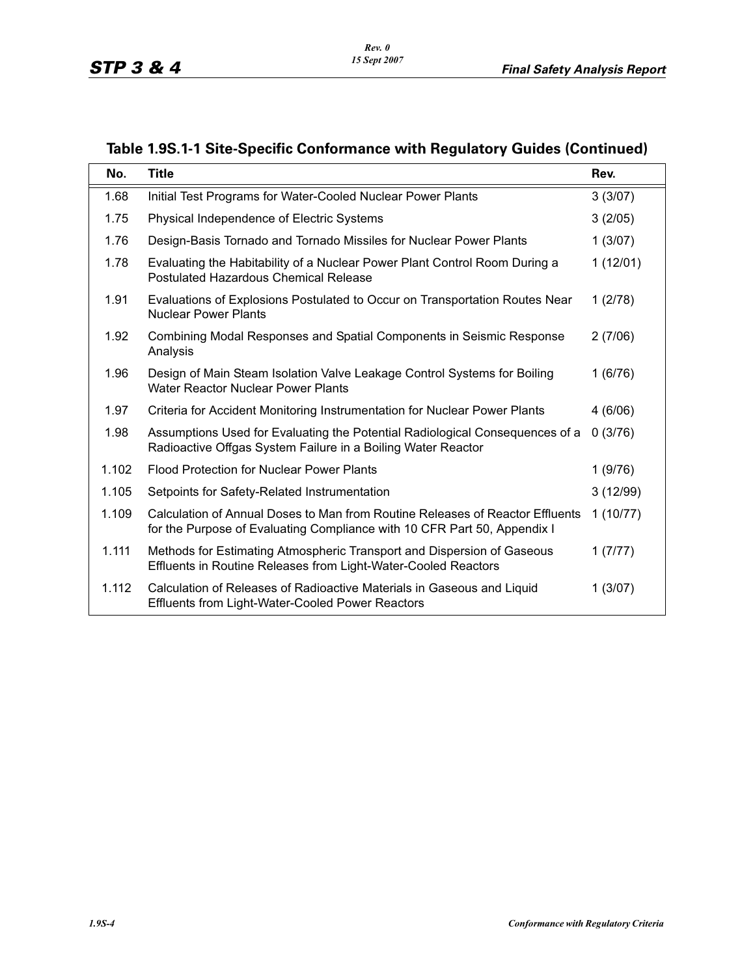| No.   | <b>Title</b>                                                                                                                                              | Rev.     |
|-------|-----------------------------------------------------------------------------------------------------------------------------------------------------------|----------|
| 1.68  | Initial Test Programs for Water-Cooled Nuclear Power Plants                                                                                               | 3(3/07)  |
| 1.75  | Physical Independence of Electric Systems                                                                                                                 | 3(2/05)  |
| 1.76  | Design-Basis Tornado and Tornado Missiles for Nuclear Power Plants                                                                                        | 1(3/07)  |
| 1.78  | Evaluating the Habitability of a Nuclear Power Plant Control Room During a<br><b>Postulated Hazardous Chemical Release</b>                                | 1(12/01) |
| 1.91  | Evaluations of Explosions Postulated to Occur on Transportation Routes Near<br><b>Nuclear Power Plants</b>                                                | 1(2/78)  |
| 1.92  | <b>Combining Modal Responses and Spatial Components in Seismic Response</b><br>Analysis                                                                   | 2(7/06)  |
| 1.96  | Design of Main Steam Isolation Valve Leakage Control Systems for Boiling<br><b>Water Reactor Nuclear Power Plants</b>                                     | 1(6/76)  |
| 1.97  | Criteria for Accident Monitoring Instrumentation for Nuclear Power Plants                                                                                 | 4(6/06)  |
| 1.98  | Assumptions Used for Evaluating the Potential Radiological Consequences of a<br>Radioactive Offgas System Failure in a Boiling Water Reactor              | 0(3/76)  |
| 1.102 | <b>Flood Protection for Nuclear Power Plants</b>                                                                                                          | 1(9/76)  |
| 1.105 | Setpoints for Safety-Related Instrumentation                                                                                                              | 3(12/99) |
| 1.109 | Calculation of Annual Doses to Man from Routine Releases of Reactor Effluents<br>for the Purpose of Evaluating Compliance with 10 CFR Part 50, Appendix I | 1(10/77) |
| 1.111 | Methods for Estimating Atmospheric Transport and Dispersion of Gaseous<br>Effluents in Routine Releases from Light-Water-Cooled Reactors                  | 1(7/77)  |
| 1.112 | Calculation of Releases of Radioactive Materials in Gaseous and Liquid<br><b>Effluents from Light-Water-Cooled Power Reactors</b>                         | 1(3/07)  |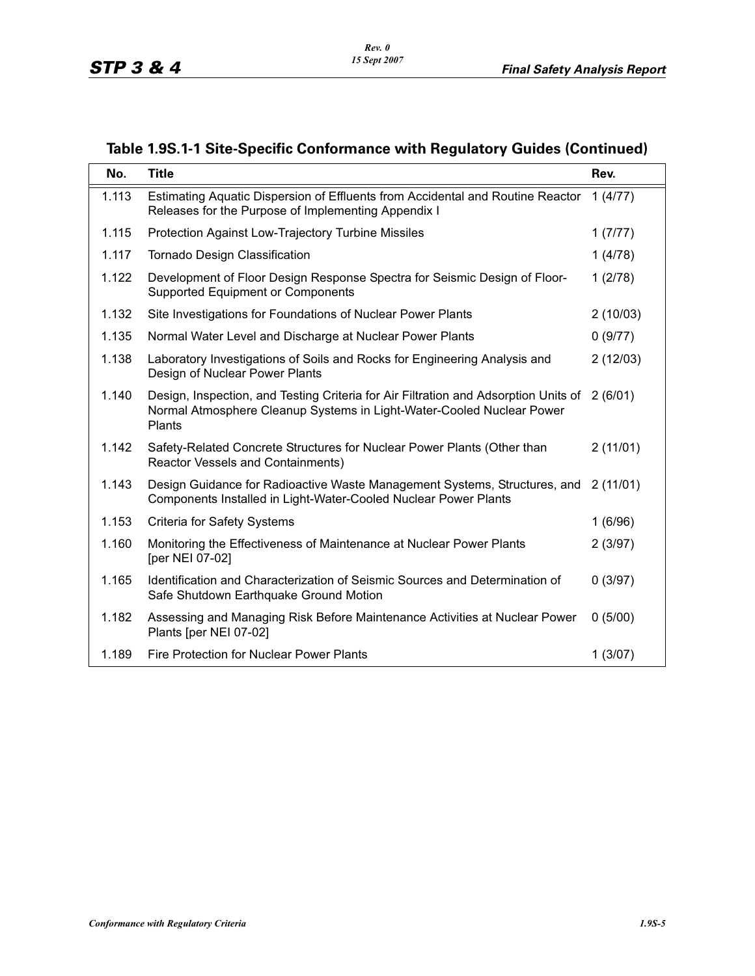| No.   | <b>Title</b>                                                                                                                                                           | Rev.     |
|-------|------------------------------------------------------------------------------------------------------------------------------------------------------------------------|----------|
| 1.113 | Estimating Aquatic Dispersion of Effluents from Accidental and Routine Reactor<br>Releases for the Purpose of Implementing Appendix I                                  | 1(4/77)  |
| 1.115 | Protection Against Low-Trajectory Turbine Missiles                                                                                                                     | 1(7/77)  |
| 1.117 | <b>Tornado Design Classification</b>                                                                                                                                   | 1(4/78)  |
| 1.122 | Development of Floor Design Response Spectra for Seismic Design of Floor-<br><b>Supported Equipment or Components</b>                                                  | 1(2/78)  |
| 1.132 | Site Investigations for Foundations of Nuclear Power Plants                                                                                                            | 2(10/03) |
| 1.135 | Normal Water Level and Discharge at Nuclear Power Plants                                                                                                               | 0(9/77)  |
| 1.138 | Laboratory Investigations of Soils and Rocks for Engineering Analysis and<br>Design of Nuclear Power Plants                                                            | 2(12/03) |
| 1.140 | Design, Inspection, and Testing Criteria for Air Filtration and Adsorption Units of<br>Normal Atmosphere Cleanup Systems in Light-Water-Cooled Nuclear Power<br>Plants | 2(6/01)  |
| 1.142 | Safety-Related Concrete Structures for Nuclear Power Plants (Other than<br><b>Reactor Vessels and Containments)</b>                                                    | 2(11/01) |
| 1.143 | Design Guidance for Radioactive Waste Management Systems, Structures, and<br>Components Installed in Light-Water-Cooled Nuclear Power Plants                           | 2(11/01) |
| 1.153 | <b>Criteria for Safety Systems</b>                                                                                                                                     | 1(6/96)  |
| 1.160 | Monitoring the Effectiveness of Maintenance at Nuclear Power Plants<br>[per NEI 07-02]                                                                                 | 2(3/97)  |
| 1.165 | Identification and Characterization of Seismic Sources and Determination of<br>Safe Shutdown Earthquake Ground Motion                                                  | 0(3/97)  |
| 1.182 | Assessing and Managing Risk Before Maintenance Activities at Nuclear Power<br>Plants [per NEI 07-02]                                                                   | 0(5/00)  |
| 1.189 | <b>Fire Protection for Nuclear Power Plants</b>                                                                                                                        | 1(3/07)  |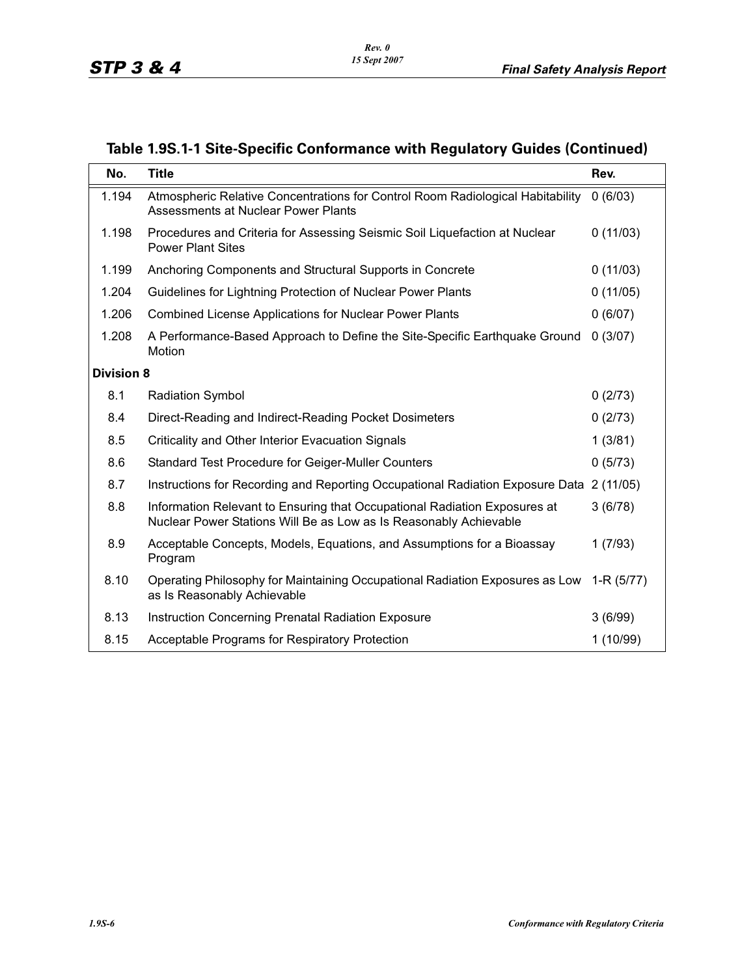| No.               | <b>Title</b>                                                                                                                                   | Rev.     |
|-------------------|------------------------------------------------------------------------------------------------------------------------------------------------|----------|
| 1.194             | Atmospheric Relative Concentrations for Control Room Radiological Habitability<br>Assessments at Nuclear Power Plants                          | 0(6/03)  |
| 1.198             | Procedures and Criteria for Assessing Seismic Soil Liquefaction at Nuclear<br><b>Power Plant Sites</b>                                         | 0(11/03) |
| 1.199             | Anchoring Components and Structural Supports in Concrete                                                                                       | 0(11/03) |
| 1.204             | Guidelines for Lightning Protection of Nuclear Power Plants                                                                                    | 0(11/05) |
| 1.206             | Combined License Applications for Nuclear Power Plants                                                                                         | 0(6/07)  |
| 1.208             | A Performance-Based Approach to Define the Site-Specific Earthquake Ground<br>Motion                                                           | 0(3/07)  |
| <b>Division 8</b> |                                                                                                                                                |          |
| 8.1               | <b>Radiation Symbol</b>                                                                                                                        | 0(2/73)  |
| 8.4               | Direct-Reading and Indirect-Reading Pocket Dosimeters                                                                                          | 0(2/73)  |
| 8.5               | Criticality and Other Interior Evacuation Signals                                                                                              | 1(3/81)  |
| 8.6               | Standard Test Procedure for Geiger-Muller Counters                                                                                             | 0(5/73)  |
| 8.7               | Instructions for Recording and Reporting Occupational Radiation Exposure Data                                                                  | 2(11/05) |
| 8.8               | Information Relevant to Ensuring that Occupational Radiation Exposures at<br>Nuclear Power Stations Will Be as Low as Is Reasonably Achievable | 3(6/78)  |
| 8.9               | Acceptable Concepts, Models, Equations, and Assumptions for a Bioassay<br>Program                                                              | 1(7/93)  |
| 8.10              | Operating Philosophy for Maintaining Occupational Radiation Exposures as Low 1-R (5/77)<br>as Is Reasonably Achievable                         |          |
| 8.13              | <b>Instruction Concerning Prenatal Radiation Exposure</b>                                                                                      | 3(6/99)  |
| 8.15              | Acceptable Programs for Respiratory Protection                                                                                                 | 1(10/99) |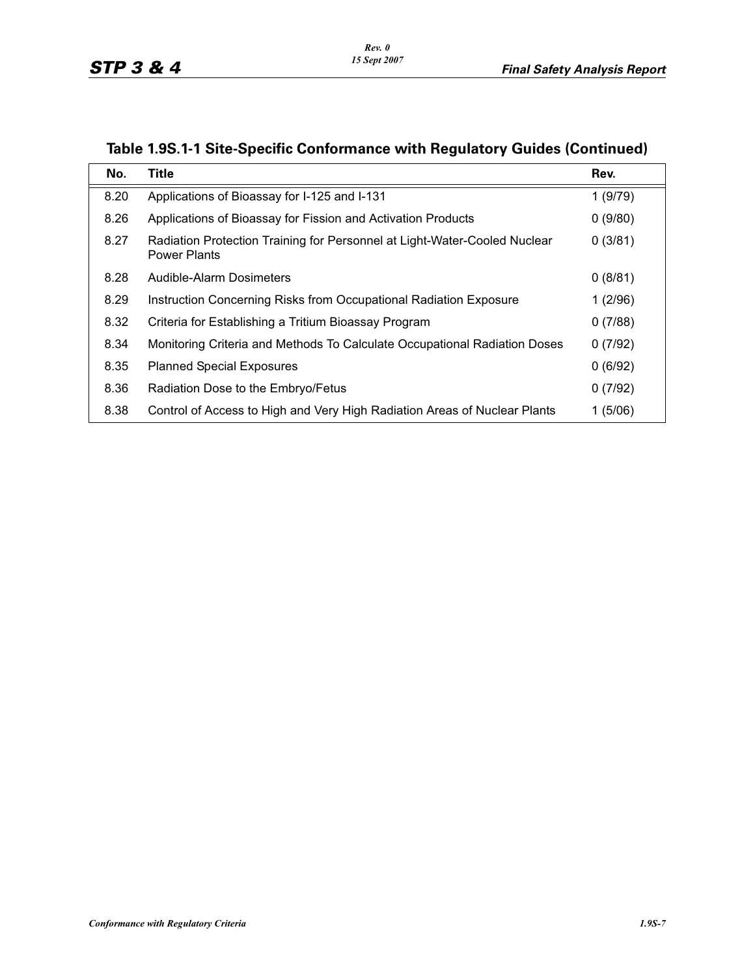| No.  | Title                                                                                            | Rev.    |
|------|--------------------------------------------------------------------------------------------------|---------|
| 8.20 | Applications of Bioassay for I-125 and I-131                                                     | 1(9/79) |
| 8.26 | Applications of Bioassay for Fission and Activation Products                                     | 0(9/80) |
| 8.27 | Radiation Protection Training for Personnel at Light-Water-Cooled Nuclear<br><b>Power Plants</b> | 0(3/81) |
| 8.28 | Audible-Alarm Dosimeters                                                                         | 0(8/81) |
| 8.29 | Instruction Concerning Risks from Occupational Radiation Exposure                                | 1(2/96) |
| 8.32 | Criteria for Establishing a Tritium Bioassay Program                                             | 0(7/88) |
| 8.34 | Monitoring Criteria and Methods To Calculate Occupational Radiation Doses                        | 0(7/92) |
| 8.35 | <b>Planned Special Exposures</b>                                                                 | 0(6/92) |
| 8.36 | Radiation Dose to the Embryo/Fetus                                                               | 0(7/92) |
| 8.38 | Control of Access to High and Very High Radiation Areas of Nuclear Plants                        | 1(5/06) |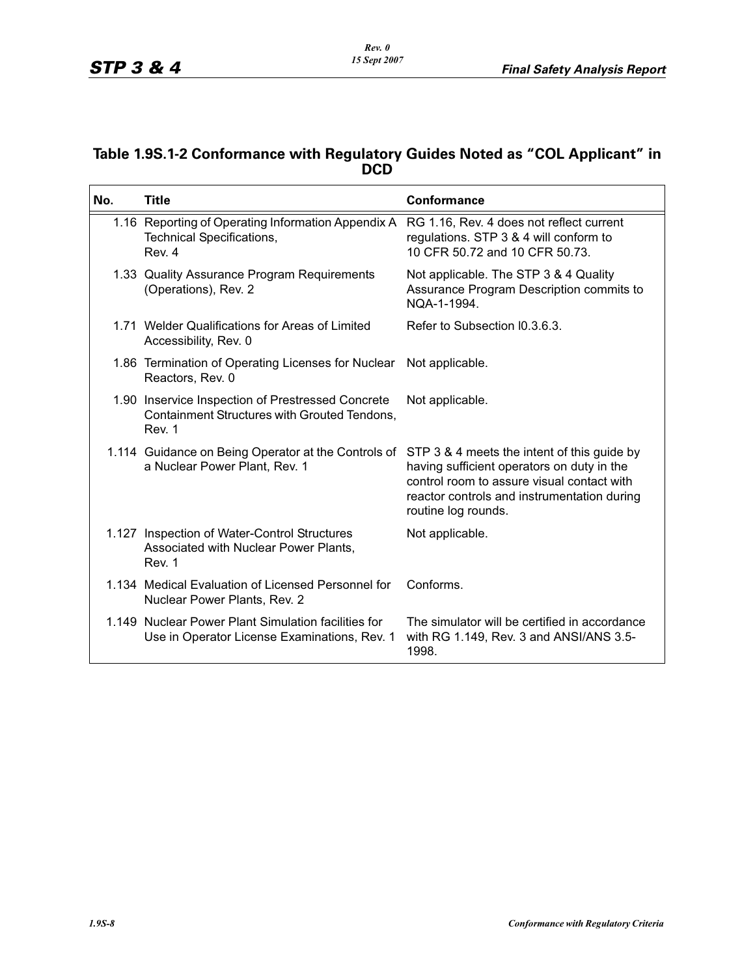### **Table 1.9S.1-2 Conformance with Regulatory Guides Noted as "COL Applicant" in DCD**

| No. | <b>Title</b>                                                                                                                              | <b>Conformance</b>                                                                                                                                                                                            |
|-----|-------------------------------------------------------------------------------------------------------------------------------------------|---------------------------------------------------------------------------------------------------------------------------------------------------------------------------------------------------------------|
|     | 1.16 Reporting of Operating Information Appendix A RG 1.16, Rev. 4 does not reflect current<br><b>Technical Specifications,</b><br>Rev. 4 | regulations. STP 3 & 4 will conform to<br>10 CFR 50.72 and 10 CFR 50.73.                                                                                                                                      |
|     | 1.33 Quality Assurance Program Requirements<br>(Operations), Rev. 2                                                                       | Not applicable. The STP 3 & 4 Quality<br>Assurance Program Description commits to<br>NOA-1-1994.                                                                                                              |
|     | 1.71 Welder Qualifications for Areas of Limited<br>Accessibility, Rev. 0                                                                  | Refer to Subsection I0.3.6.3.                                                                                                                                                                                 |
|     | 1.86 Termination of Operating Licenses for Nuclear<br>Reactors, Rev. 0                                                                    | Not applicable.                                                                                                                                                                                               |
|     | 1.90 Inservice Inspection of Prestressed Concrete<br>Containment Structures with Grouted Tendons,<br>Rev. 1                               | Not applicable.                                                                                                                                                                                               |
|     | 1.114 Guidance on Being Operator at the Controls of<br>a Nuclear Power Plant, Rev. 1                                                      | STP 3 & 4 meets the intent of this guide by<br>having sufficient operators on duty in the<br>control room to assure visual contact with<br>reactor controls and instrumentation during<br>routine log rounds. |
|     | 1.127 Inspection of Water-Control Structures<br>Associated with Nuclear Power Plants,<br>Rev. 1                                           | Not applicable.                                                                                                                                                                                               |
|     | 1.134 Medical Evaluation of Licensed Personnel for<br>Nuclear Power Plants, Rev. 2                                                        | Conforms.                                                                                                                                                                                                     |
|     | 1.149 Nuclear Power Plant Simulation facilities for<br>Use in Operator License Examinations, Rev. 1                                       | The simulator will be certified in accordance<br>with RG 1.149, Rev. 3 and ANSI/ANS 3.5-<br>1998.                                                                                                             |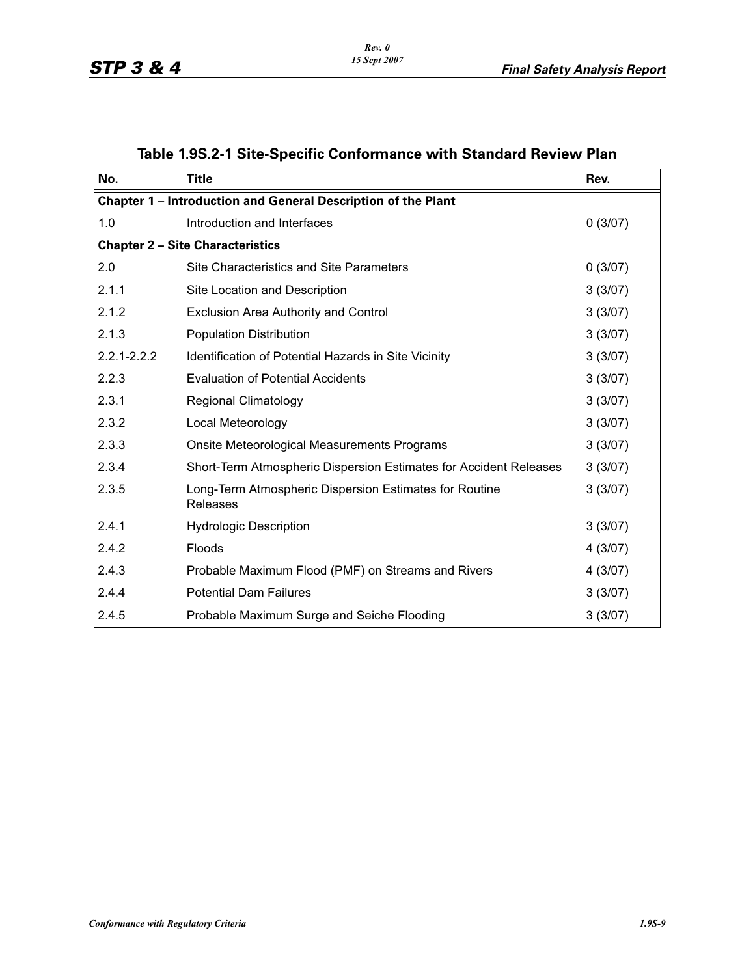| No.             | <b>Title</b>                                                       | Rev.    |  |  |  |
|-----------------|--------------------------------------------------------------------|---------|--|--|--|
|                 | Chapter 1 - Introduction and General Description of the Plant      |         |  |  |  |
| 1.0             | Introduction and Interfaces                                        | 0(3/07) |  |  |  |
|                 | <b>Chapter 2 - Site Characteristics</b>                            |         |  |  |  |
| 2.0             | Site Characteristics and Site Parameters                           | 0(3/07) |  |  |  |
| 2.1.1           | Site Location and Description                                      | 3(3/07) |  |  |  |
| 2.1.2           | Exclusion Area Authority and Control                               | 3(3/07) |  |  |  |
| 2.1.3           | <b>Population Distribution</b>                                     | 3(3/07) |  |  |  |
| $2.2.1 - 2.2.2$ | Identification of Potential Hazards in Site Vicinity               | 3(3/07) |  |  |  |
| 2.2.3           | <b>Evaluation of Potential Accidents</b>                           | 3(3/07) |  |  |  |
| 2.3.1           | <b>Regional Climatology</b>                                        | 3(3/07) |  |  |  |
| 2.3.2           | Local Meteorology                                                  | 3(3/07) |  |  |  |
| 2.3.3           | Onsite Meteorological Measurements Programs                        | 3(3/07) |  |  |  |
| 2.3.4           | Short-Term Atmospheric Dispersion Estimates for Accident Releases  | 3(3/07) |  |  |  |
| 2.3.5           | Long-Term Atmospheric Dispersion Estimates for Routine<br>Releases | 3(3/07) |  |  |  |
| 2.4.1           | <b>Hydrologic Description</b>                                      | 3(3/07) |  |  |  |
| 2.4.2           | Floods                                                             | 4(3/07) |  |  |  |
| 2.4.3           | Probable Maximum Flood (PMF) on Streams and Rivers                 | 4(3/07) |  |  |  |
| 2.4.4           | <b>Potential Dam Failures</b>                                      | 3(3/07) |  |  |  |
| 2.4.5           | Probable Maximum Surge and Seiche Flooding                         | 3(3/07) |  |  |  |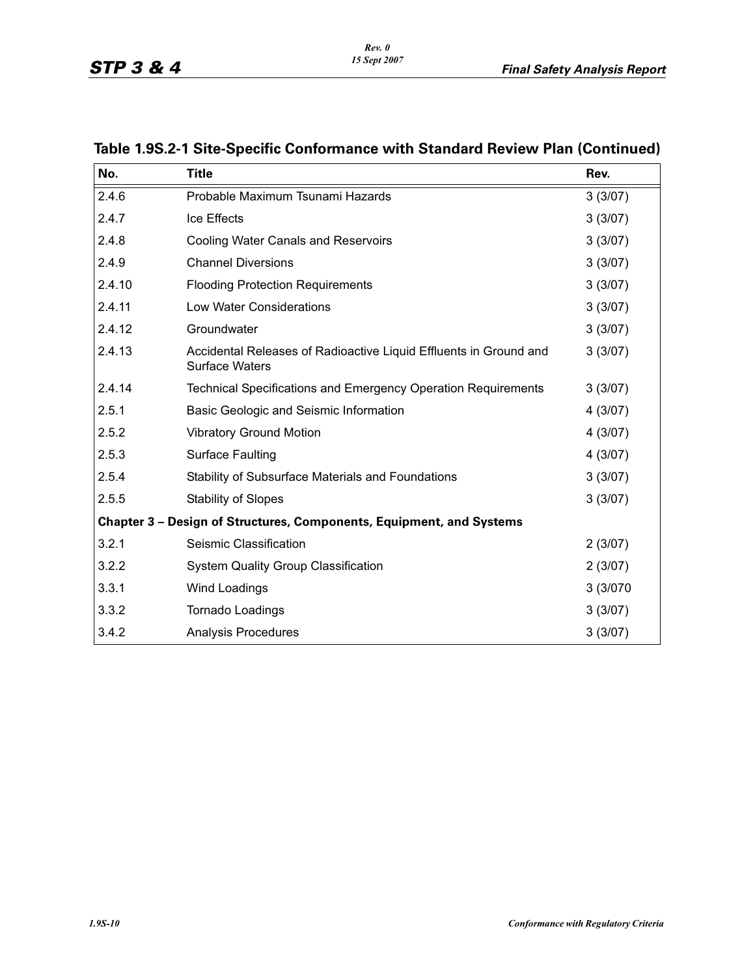| No.    | <b>Title</b>                                                                               | Rev.     |
|--------|--------------------------------------------------------------------------------------------|----------|
| 2.4.6  | Probable Maximum Tsunami Hazards                                                           | 3(3/07)  |
| 2.4.7  | Ice Effects                                                                                | 3(3/07)  |
| 2.4.8  | <b>Cooling Water Canals and Reservoirs</b>                                                 | 3(3/07)  |
| 2.4.9  | <b>Channel Diversions</b>                                                                  | 3(3/07)  |
| 2.4.10 | <b>Flooding Protection Requirements</b>                                                    | 3(3/07)  |
| 2.4.11 | Low Water Considerations                                                                   | 3(3/07)  |
| 2.4.12 | Groundwater                                                                                | 3(3/07)  |
| 2.4.13 | Accidental Releases of Radioactive Liquid Effluents in Ground and<br><b>Surface Waters</b> | 3(3/07)  |
| 2.4.14 | Technical Specifications and Emergency Operation Requirements                              | 3(3/07)  |
| 2.5.1  | Basic Geologic and Seismic Information                                                     | 4(3/07)  |
| 2.5.2  | <b>Vibratory Ground Motion</b>                                                             | 4(3/07)  |
| 2.5.3  | <b>Surface Faulting</b>                                                                    | 4(3/07)  |
| 2.5.4  | Stability of Subsurface Materials and Foundations                                          | 3(3/07)  |
| 2.5.5  | <b>Stability of Slopes</b>                                                                 | 3(3/07)  |
|        | Chapter 3 - Design of Structures, Components, Equipment, and Systems                       |          |
| 3.2.1  | Seismic Classification                                                                     | 2(3/07)  |
| 3.2.2  | <b>System Quality Group Classification</b>                                                 | 2(3/07)  |
| 3.3.1  | Wind Loadings                                                                              | 3 (3/070 |
| 3.3.2  | Tornado Loadings                                                                           | 3(3/07)  |
| 3.4.2  | <b>Analysis Procedures</b>                                                                 | 3(3/07)  |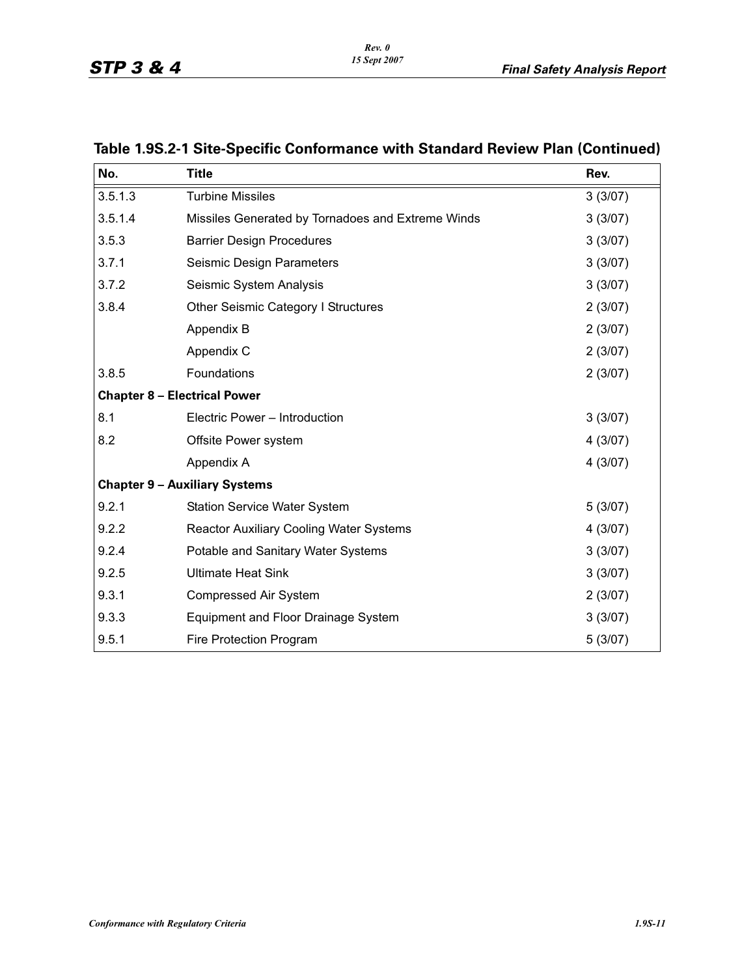| No.                                 | <b>Title</b>                                      | Rev.    |
|-------------------------------------|---------------------------------------------------|---------|
| 3.5.1.3                             | <b>Turbine Missiles</b>                           | 3(3/07) |
| 3.5.1.4                             | Missiles Generated by Tornadoes and Extreme Winds | 3(3/07) |
| 3.5.3                               | <b>Barrier Design Procedures</b>                  | 3(3/07) |
| 3.7.1                               | Seismic Design Parameters                         | 3(3/07) |
| 3.7.2                               | Seismic System Analysis                           | 3(3/07) |
| 3.8.4                               | <b>Other Seismic Category I Structures</b>        | 2(3/07) |
|                                     | Appendix B                                        | 2(3/07) |
|                                     | Appendix C                                        | 2(3/07) |
| 3.8.5                               | Foundations                                       | 2(3/07) |
| <b>Chapter 8 - Electrical Power</b> |                                                   |         |
| 8.1                                 | Electric Power - Introduction                     | 3(3/07) |
| 8.2                                 | Offsite Power system                              | 4(3/07) |
|                                     | Appendix A                                        | 4(3/07) |
|                                     | <b>Chapter 9 - Auxiliary Systems</b>              |         |
| 9.2.1                               | <b>Station Service Water System</b>               | 5(3/07) |
| 9.2.2                               | <b>Reactor Auxiliary Cooling Water Systems</b>    | 4(3/07) |
| 9.2.4                               | Potable and Sanitary Water Systems                | 3(3/07) |
| 9.2.5                               | <b>Ultimate Heat Sink</b>                         | 3(3/07) |
| 9.3.1                               | <b>Compressed Air System</b>                      | 2(3/07) |
| 9.3.3                               | <b>Equipment and Floor Drainage System</b>        | 3(3/07) |
| 9.5.1                               | <b>Fire Protection Program</b>                    | 5(3/07) |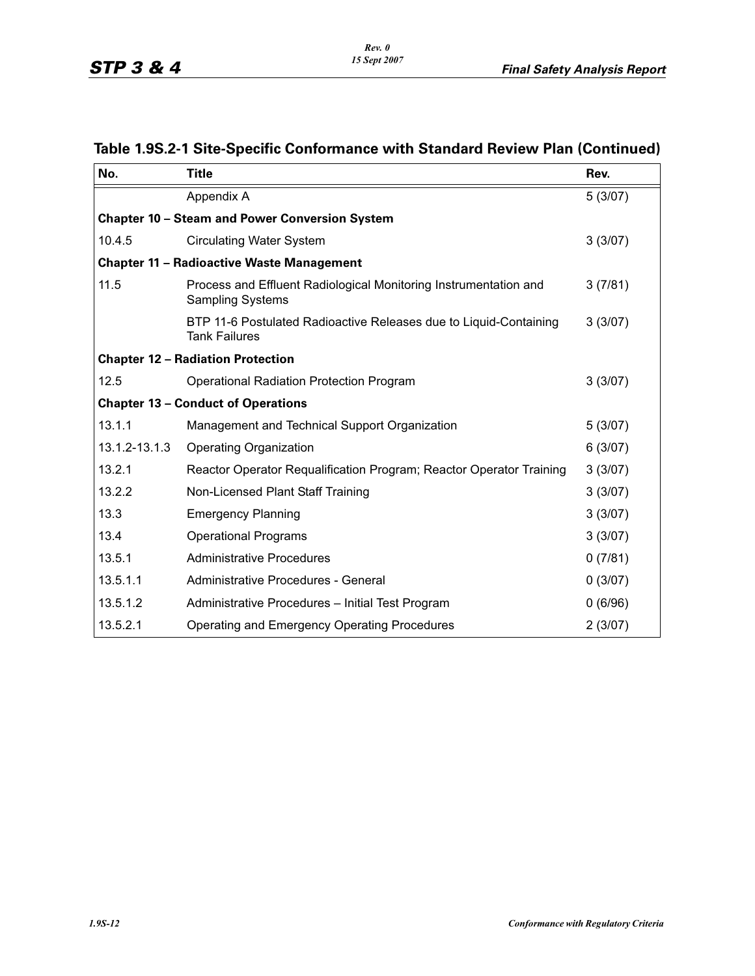| No.           | <b>Title</b>                                                                                | Rev.    |
|---------------|---------------------------------------------------------------------------------------------|---------|
|               | Appendix A                                                                                  | 5(3/07) |
|               | <b>Chapter 10 - Steam and Power Conversion System</b>                                       |         |
| 10.4.5        | <b>Circulating Water System</b>                                                             | 3(3/07) |
|               | <b>Chapter 11 - Radioactive Waste Management</b>                                            |         |
| 11.5          | Process and Effluent Radiological Monitoring Instrumentation and<br><b>Sampling Systems</b> | 3(7/81) |
|               | BTP 11-6 Postulated Radioactive Releases due to Liquid-Containing<br><b>Tank Failures</b>   | 3(3/07) |
|               | <b>Chapter 12 - Radiation Protection</b>                                                    |         |
| 12.5          | <b>Operational Radiation Protection Program</b>                                             | 3(3/07) |
|               | <b>Chapter 13 - Conduct of Operations</b>                                                   |         |
| 13.1.1        | Management and Technical Support Organization                                               | 5(3/07) |
| 13.1.2-13.1.3 | <b>Operating Organization</b>                                                               | 6(3/07) |
| 13.2.1        | Reactor Operator Requalification Program; Reactor Operator Training                         | 3(3/07) |
| 13.2.2        | Non-Licensed Plant Staff Training                                                           | 3(3/07) |
| 13.3          | <b>Emergency Planning</b>                                                                   | 3(3/07) |
| 13.4          | <b>Operational Programs</b>                                                                 | 3(3/07) |
| 13.5.1        | <b>Administrative Procedures</b>                                                            | 0(7/81) |
| 13.5.1.1      | Administrative Procedures - General                                                         | 0(3/07) |
| 13.5.1.2      | Administrative Procedures - Initial Test Program                                            | 0(6/96) |
| 13.5.2.1      | Operating and Emergency Operating Procedures                                                | 2(3/07) |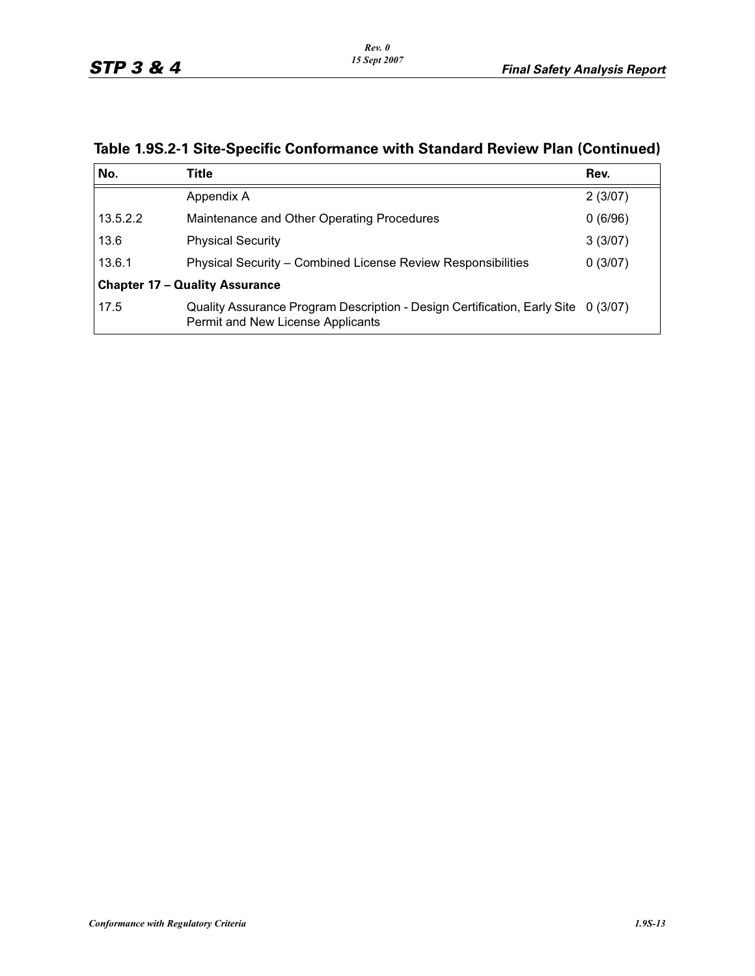| No.      | Title                                                                                                                  | Rev.    |
|----------|------------------------------------------------------------------------------------------------------------------------|---------|
|          | Appendix A                                                                                                             | 2(3/07) |
| 13.5.2.2 | Maintenance and Other Operating Procedures                                                                             | 0(6/96) |
| 13.6     | <b>Physical Security</b>                                                                                               | 3(3/07) |
| 13.6.1   | Physical Security - Combined License Review Responsibilities                                                           | 0(3/07) |
|          | <b>Chapter 17 - Quality Assurance</b>                                                                                  |         |
| 17.5     | Quality Assurance Program Description - Design Certification, Early Site 0 (3/07)<br>Permit and New License Applicants |         |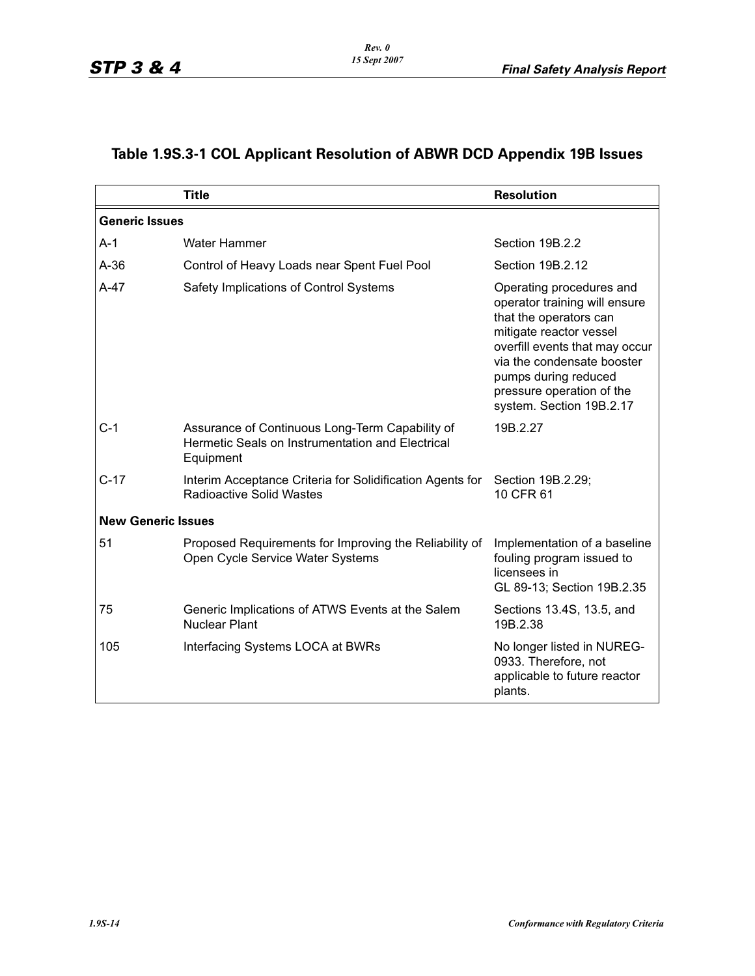# **Table 1.9S.3-1 COL Applicant Resolution of ABWR DCD Appendix 19B Issues**

|                           | <b>Title</b>                                                                                                     | <b>Resolution</b>                                                                                                                                                                                                                                               |
|---------------------------|------------------------------------------------------------------------------------------------------------------|-----------------------------------------------------------------------------------------------------------------------------------------------------------------------------------------------------------------------------------------------------------------|
| <b>Generic Issues</b>     |                                                                                                                  |                                                                                                                                                                                                                                                                 |
| A-1                       | <b>Water Hammer</b>                                                                                              | Section 19B.2.2                                                                                                                                                                                                                                                 |
| $A-36$                    | Control of Heavy Loads near Spent Fuel Pool                                                                      | Section 19B.2.12                                                                                                                                                                                                                                                |
| A-47                      | Safety Implications of Control Systems                                                                           | Operating procedures and<br>operator training will ensure<br>that the operators can<br>mitigate reactor vessel<br>overfill events that may occur<br>via the condensate booster<br>pumps during reduced<br>pressure operation of the<br>system. Section 19B.2.17 |
| C-1                       | Assurance of Continuous Long-Term Capability of<br>Hermetic Seals on Instrumentation and Electrical<br>Equipment | 19B.2.27                                                                                                                                                                                                                                                        |
| $C-17$                    | Interim Acceptance Criteria for Solidification Agents for<br><b>Radioactive Solid Wastes</b>                     | Section 19B.2.29;<br>10 CFR 61                                                                                                                                                                                                                                  |
| <b>New Generic Issues</b> |                                                                                                                  |                                                                                                                                                                                                                                                                 |
| 51                        | Proposed Requirements for Improving the Reliability of<br>Open Cycle Service Water Systems                       | Implementation of a baseline<br>fouling program issued to<br>licensees in<br>GL 89-13; Section 19B.2.35                                                                                                                                                         |
| 75                        | Generic Implications of ATWS Events at the Salem<br><b>Nuclear Plant</b>                                         | Sections 13.4S, 13.5, and<br>19B.2.38                                                                                                                                                                                                                           |
| 105                       | Interfacing Systems LOCA at BWRs                                                                                 | No longer listed in NUREG-<br>0933. Therefore, not<br>applicable to future reactor<br>plants.                                                                                                                                                                   |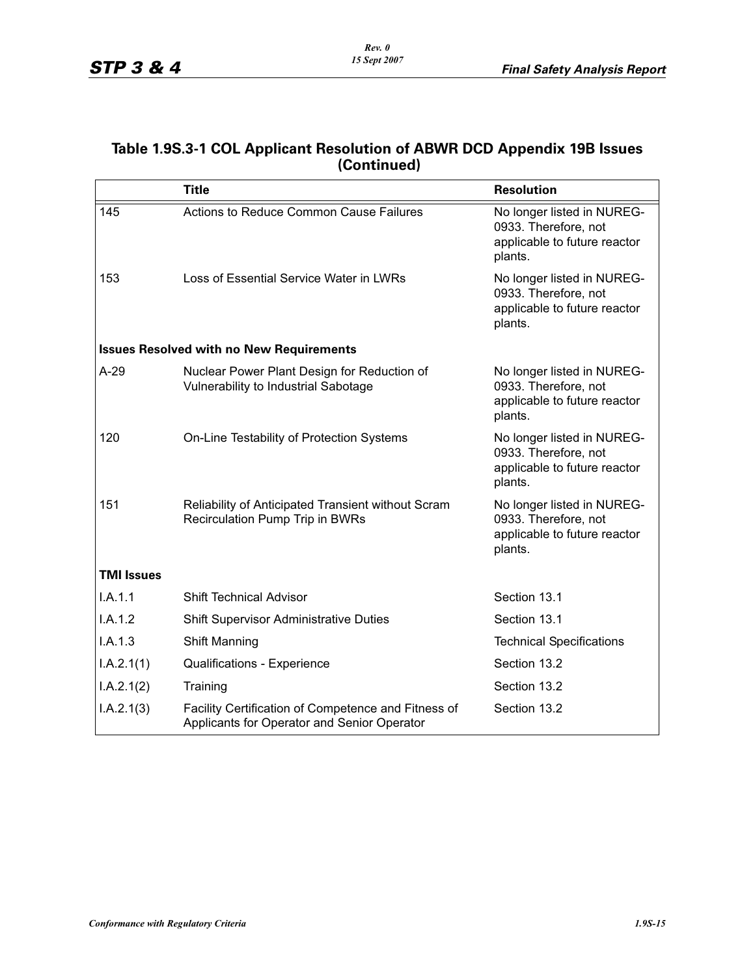### **Table 1.9S.3-1 COL Applicant Resolution of ABWR DCD Appendix 19B Issues (Continued)**

|                   | <b>Title</b>                                                                                       | <b>Resolution</b>                                                                             |
|-------------------|----------------------------------------------------------------------------------------------------|-----------------------------------------------------------------------------------------------|
| 145               | Actions to Reduce Common Cause Failures                                                            | No longer listed in NUREG-<br>0933. Therefore, not<br>applicable to future reactor<br>plants. |
| 153               | Loss of Essential Service Water in LWRs                                                            | No longer listed in NUREG-<br>0933. Therefore, not<br>applicable to future reactor<br>plants. |
|                   | <b>Issues Resolved with no New Requirements</b>                                                    |                                                                                               |
| $A-29$            | Nuclear Power Plant Design for Reduction of<br>Vulnerability to Industrial Sabotage                | No longer listed in NUREG-<br>0933. Therefore, not<br>applicable to future reactor<br>plants. |
| 120               | On-Line Testability of Protection Systems                                                          | No longer listed in NUREG-<br>0933. Therefore, not<br>applicable to future reactor<br>plants. |
| 151               | Reliability of Anticipated Transient without Scram<br><b>Recirculation Pump Trip in BWRs</b>       | No longer listed in NUREG-<br>0933. Therefore, not<br>applicable to future reactor<br>plants. |
| <b>TMI Issues</b> |                                                                                                    |                                                                                               |
| LA.1.1            | <b>Shift Technical Advisor</b>                                                                     | Section 13.1                                                                                  |
| I.A.1.2           | <b>Shift Supervisor Administrative Duties</b>                                                      | Section 13.1                                                                                  |
| I.A.1.3           | Shift Manning                                                                                      | <b>Technical Specifications</b>                                                               |
| I.A.2.1(1)        | Qualifications - Experience                                                                        | Section 13.2                                                                                  |
| I.A.2.1(2)        | Training                                                                                           | Section 13.2                                                                                  |
| I.A.2.1(3)        | Facility Certification of Competence and Fitness of<br>Applicants for Operator and Senior Operator | Section 13.2                                                                                  |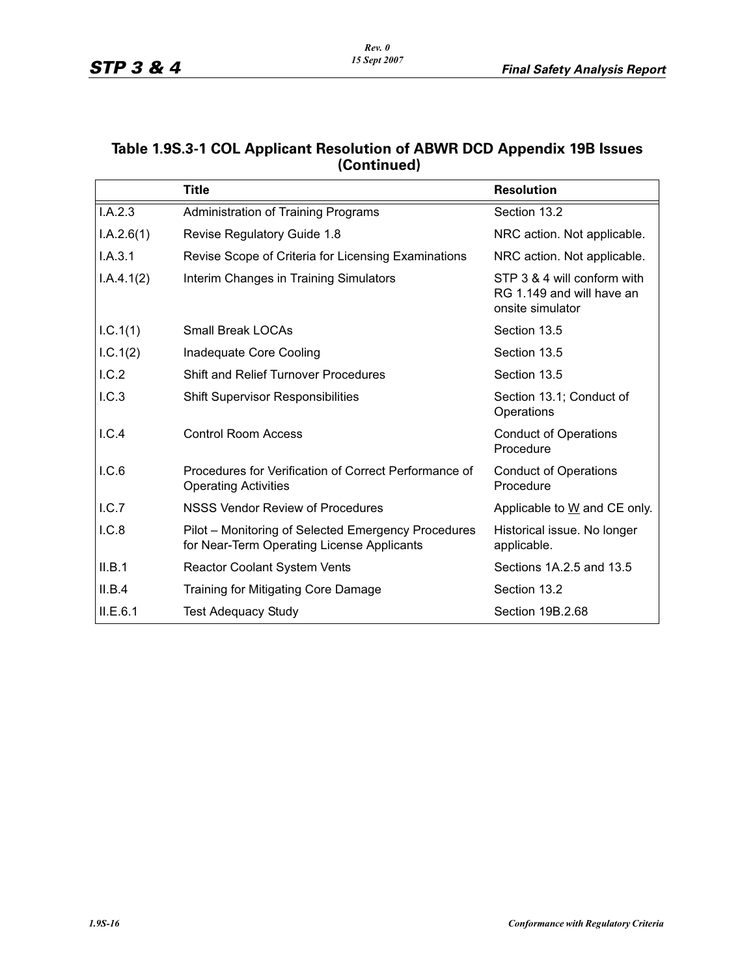#### **Table 1.9S.3-1 COL Applicant Resolution of ABWR DCD Appendix 19B Issues (Continued)**

|            | <b>Title</b>                                                                                      | <b>Resolution</b>                                                            |
|------------|---------------------------------------------------------------------------------------------------|------------------------------------------------------------------------------|
| I.A.2.3    | Administration of Training Programs                                                               | Section 13.2                                                                 |
| I.A.2.6(1) | Revise Regulatory Guide 1.8                                                                       | NRC action. Not applicable.                                                  |
| I.A.3.1    | Revise Scope of Criteria for Licensing Examinations                                               | NRC action. Not applicable.                                                  |
| I.A.4.1(2) | Interim Changes in Training Simulators                                                            | STP 3 & 4 will conform with<br>RG 1.149 and will have an<br>onsite simulator |
| I.C.1(1)   | <b>Small Break LOCAs</b>                                                                          | Section 13.5                                                                 |
| I.C.1(2)   | Inadequate Core Cooling                                                                           | Section 13.5                                                                 |
| I.C.2      | <b>Shift and Relief Turnover Procedures</b>                                                       | Section 13.5                                                                 |
| 1.C.3      | <b>Shift Supervisor Responsibilities</b>                                                          | Section 13.1; Conduct of<br>Operations                                       |
| I.C.4      | <b>Control Room Access</b>                                                                        | <b>Conduct of Operations</b><br>Procedure                                    |
| I.C.6      | Procedures for Verification of Correct Performance of<br><b>Operating Activities</b>              | <b>Conduct of Operations</b><br>Procedure                                    |
| I.C.7      | <b>NSSS Vendor Review of Procedures</b>                                                           | Applicable to W and CE only.                                                 |
| I.C.8      | Pilot – Monitoring of Selected Emergency Procedures<br>for Near-Term Operating License Applicants | Historical issue. No longer<br>applicable.                                   |
| II.B.1     | <b>Reactor Coolant System Vents</b>                                                               | Sections 1A.2.5 and 13.5                                                     |
| II.B.4     | Training for Mitigating Core Damage                                                               | Section 13.2                                                                 |
| ILE.6.1    | <b>Test Adequacy Study</b>                                                                        | Section 19B.2.68                                                             |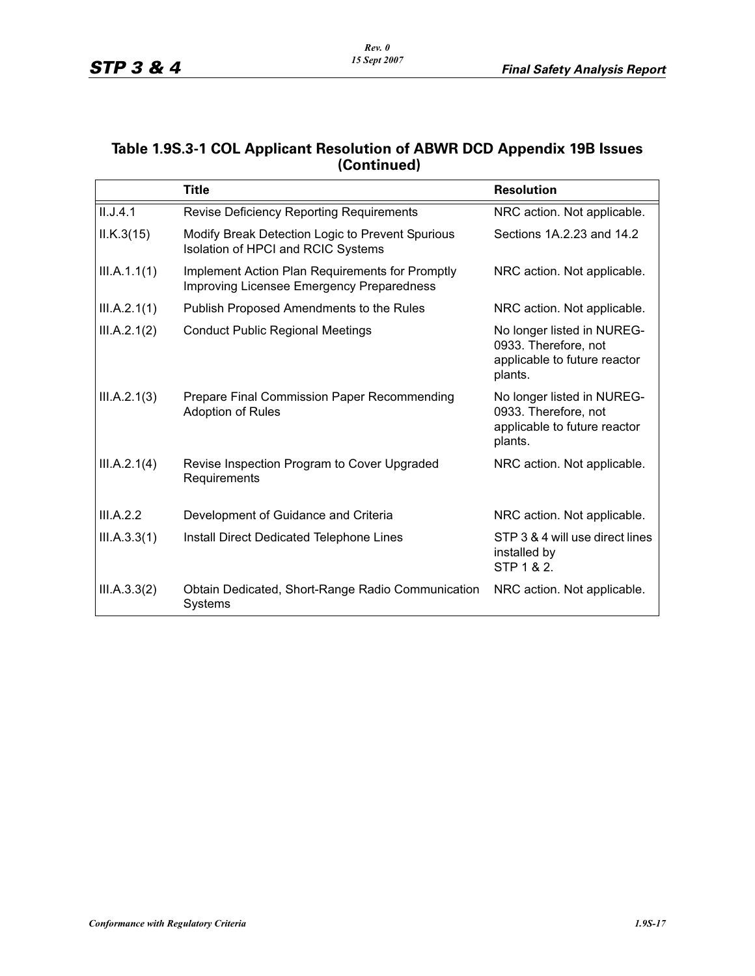#### **Table 1.9S.3-1 COL Applicant Resolution of ABWR DCD Appendix 19B Issues (Continued)**

|              | <b>Title</b>                                                                                 | <b>Resolution</b>                                                                             |
|--------------|----------------------------------------------------------------------------------------------|-----------------------------------------------------------------------------------------------|
| II.J.4.1     | <b>Revise Deficiency Reporting Requirements</b>                                              | NRC action. Not applicable.                                                                   |
| ILK.3(15)    | Modify Break Detection Logic to Prevent Spurious<br>Isolation of HPCI and RCIC Systems       | Sections 1A.2.23 and 14.2                                                                     |
| III.A.1.1(1) | Implement Action Plan Requirements for Promptly<br>Improving Licensee Emergency Preparedness | NRC action. Not applicable.                                                                   |
| III.A.2.1(1) | Publish Proposed Amendments to the Rules                                                     | NRC action. Not applicable.                                                                   |
| III.A.2.1(2) | <b>Conduct Public Regional Meetings</b>                                                      | No longer listed in NUREG-<br>0933. Therefore, not<br>applicable to future reactor<br>plants. |
| III.A.2.1(3) | Prepare Final Commission Paper Recommending<br><b>Adoption of Rules</b>                      | No longer listed in NUREG-<br>0933. Therefore, not<br>applicable to future reactor<br>plants. |
| III.A.2.1(4) | Revise Inspection Program to Cover Upgraded<br>Requirements                                  | NRC action. Not applicable.                                                                   |
| III.A.2.2    | Development of Guidance and Criteria                                                         | NRC action. Not applicable.                                                                   |
| III.A.3.3(1) | Install Direct Dedicated Telephone Lines                                                     | STP 3 & 4 will use direct lines<br>installed by<br>STP 1 & 2.                                 |
| III.A.3.3(2) | Obtain Dedicated, Short-Range Radio Communication<br>Systems                                 | NRC action. Not applicable.                                                                   |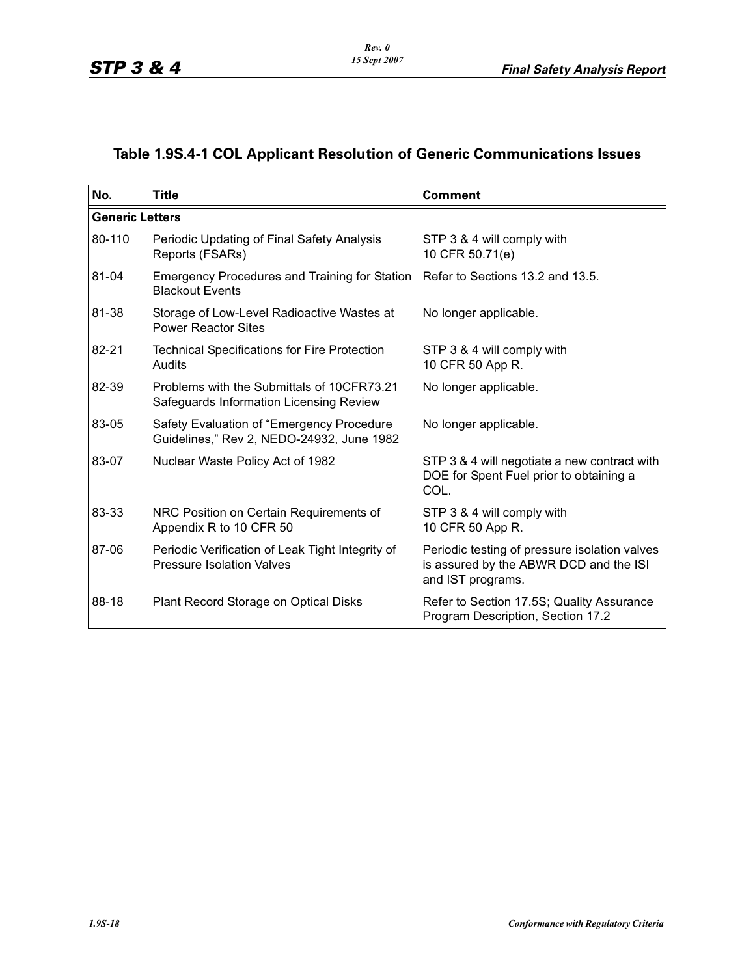# **Table 1.9S.4-1 COL Applicant Resolution of Generic Communications Issues**

| No.                    | <b>Title</b>                                                                                             | <b>Comment</b>                                                                                               |
|------------------------|----------------------------------------------------------------------------------------------------------|--------------------------------------------------------------------------------------------------------------|
| <b>Generic Letters</b> |                                                                                                          |                                                                                                              |
| 80-110                 | Periodic Updating of Final Safety Analysis<br>Reports (FSARs)                                            | STP 3 & 4 will comply with<br>10 CFR 50.71(e)                                                                |
| 81-04                  | Emergency Procedures and Training for Station Refer to Sections 13.2 and 13.5.<br><b>Blackout Events</b> |                                                                                                              |
| 81-38                  | Storage of Low-Level Radioactive Wastes at<br><b>Power Reactor Sites</b>                                 | No longer applicable.                                                                                        |
| 82-21                  | <b>Technical Specifications for Fire Protection</b><br>Audits                                            | STP 3 & 4 will comply with<br>10 CFR 50 App R.                                                               |
| 82-39                  | Problems with the Submittals of 10CFR73.21<br>Safeguards Information Licensing Review                    | No longer applicable.                                                                                        |
| 83-05                  | Safety Evaluation of "Emergency Procedure<br>Guidelines," Rev 2, NEDO-24932, June 1982                   | No longer applicable.                                                                                        |
| 83-07                  | Nuclear Waste Policy Act of 1982                                                                         | STP 3 & 4 will negotiate a new contract with<br>DOE for Spent Fuel prior to obtaining a<br>COL.              |
| 83-33                  | NRC Position on Certain Requirements of<br>Appendix R to 10 CFR 50                                       | STP 3 & 4 will comply with<br>10 CFR 50 App R.                                                               |
| 87-06                  | Periodic Verification of Leak Tight Integrity of<br><b>Pressure Isolation Valves</b>                     | Periodic testing of pressure isolation valves<br>is assured by the ABWR DCD and the ISI<br>and IST programs. |
| 88-18                  | Plant Record Storage on Optical Disks                                                                    | Refer to Section 17.5S; Quality Assurance<br>Program Description, Section 17.2                               |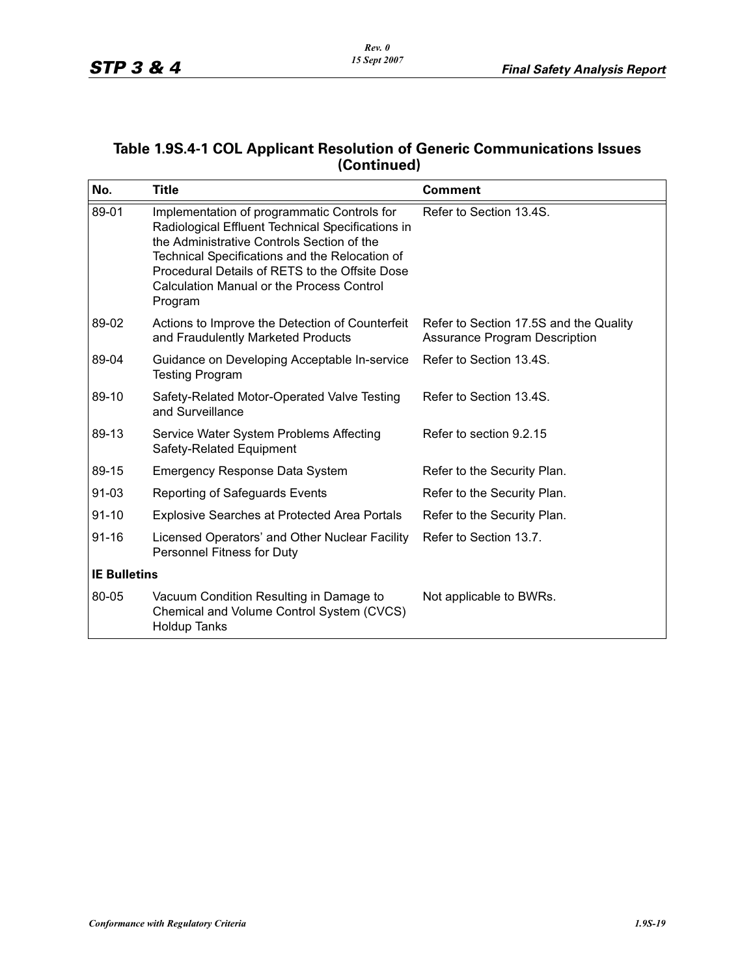### **Table 1.9S.4-1 COL Applicant Resolution of Generic Communications Issues (Continued)**

| No.                 | <b>Title</b>                                                                                                                                                                                                                                                                                                      | <b>Comment</b>                                                                 |
|---------------------|-------------------------------------------------------------------------------------------------------------------------------------------------------------------------------------------------------------------------------------------------------------------------------------------------------------------|--------------------------------------------------------------------------------|
| 89-01               | Implementation of programmatic Controls for<br>Radiological Effluent Technical Specifications in<br>the Administrative Controls Section of the<br>Technical Specifications and the Relocation of<br>Procedural Details of RETS to the Offsite Dose<br><b>Calculation Manual or the Process Control</b><br>Program | Refer to Section 13.4S.                                                        |
| 89-02               | Actions to Improve the Detection of Counterfeit<br>and Fraudulently Marketed Products                                                                                                                                                                                                                             | Refer to Section 17.5S and the Quality<br><b>Assurance Program Description</b> |
| 89-04               | Guidance on Developing Acceptable In-service<br><b>Testing Program</b>                                                                                                                                                                                                                                            | Refer to Section 13.4S.                                                        |
| 89-10               | Safety-Related Motor-Operated Valve Testing<br>and Surveillance                                                                                                                                                                                                                                                   | Refer to Section 13.4S.                                                        |
| 89-13               | Service Water System Problems Affecting<br>Safety-Related Equipment                                                                                                                                                                                                                                               | Refer to section 9.2.15                                                        |
| 89-15               | <b>Emergency Response Data System</b>                                                                                                                                                                                                                                                                             | Refer to the Security Plan.                                                    |
| 91-03               | Reporting of Safeguards Events                                                                                                                                                                                                                                                                                    | Refer to the Security Plan.                                                    |
| $91 - 10$           | <b>Explosive Searches at Protected Area Portals</b>                                                                                                                                                                                                                                                               | Refer to the Security Plan.                                                    |
| $91 - 16$           | Licensed Operators' and Other Nuclear Facility<br>Personnel Fitness for Duty                                                                                                                                                                                                                                      | Refer to Section 13.7.                                                         |
| <b>IE Bulletins</b> |                                                                                                                                                                                                                                                                                                                   |                                                                                |
| 80-05               | Vacuum Condition Resulting in Damage to<br>Chemical and Volume Control System (CVCS)<br><b>Holdup Tanks</b>                                                                                                                                                                                                       | Not applicable to BWRs.                                                        |